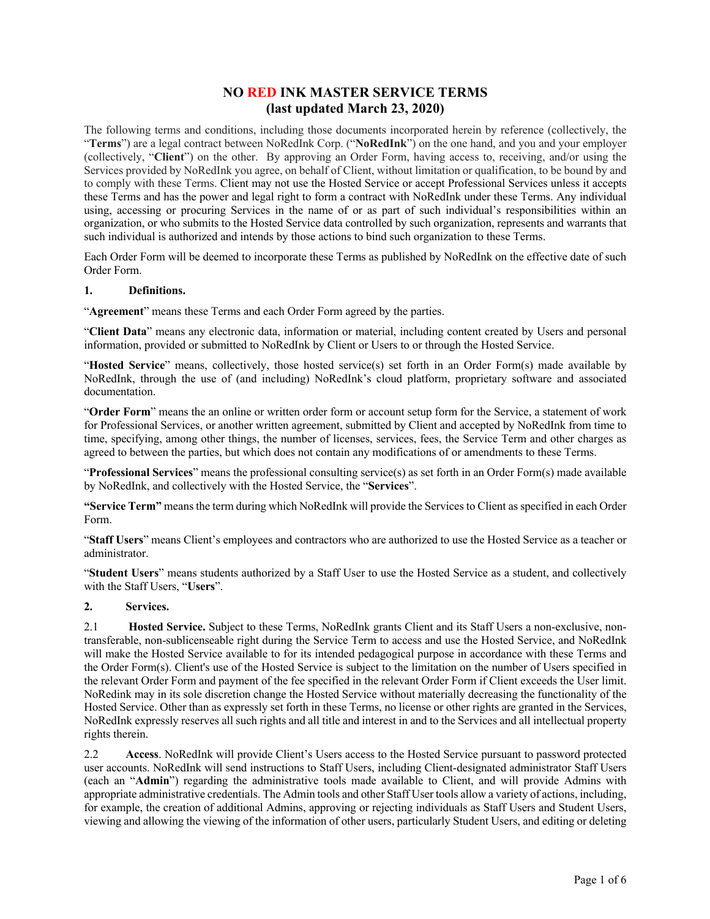## **NO RED INK MASTER SERVICE TERMS (last updated March 23, 2020)**

The following terms and conditions, including those documents incorporated herein by reference (collectively, the "**Terms**") are a legal contract between NoRedInk Corp. ("**NoRedInk**") on the one hand, and you and your employer (collectively, "**Client**") on the other. By approving an Order Form, having access to, receiving, and/or using the Services provided by NoRedInk you agree, on behalf of Client, without limitation or qualification, to be bound by and to comply with these Terms. Client may not use the Hosted Service or accept Professional Services unless it accepts these Terms and has the power and legal right to form a contract with NoRedInk under these Terms. Any individual using, accessing or procuring Services in the name of or as part of such individual's responsibilities within an organization, or who submits to the Hosted Service data controlled by such organization, represents and warrants that such individual is authorized and intends by those actions to bind such organization to these Terms.

Each Order Form will be deemed to incorporate these Terms as published by NoRedInk on the effective date of such Order Form.

#### **1. Definitions.**

"**Agreement**" means these Terms and each Order Form agreed by the parties.

"**Client Data**" means any electronic data, information or material, including content created by Users and personal information, provided or submitted to NoRedInk by Client or Users to or through the Hosted Service.

"**Hosted Service**" means, collectively, those hosted service(s) set forth in an Order Form(s) made available by NoRedInk, through the use of (and including) NoRedInk's cloud platform, proprietary software and associated documentation.

"**Order Form**" means the an online or written order form or account setup form for the Service, a statement of work for Professional Services, or another written agreement, submitted by Client and accepted by NoRedInk from time to time, specifying, among other things, the number of licenses, services, fees, the Service Term and other charges as agreed to between the parties, but which does not contain any modifications of or amendments to these Terms.

"**Professional Services**" means the professional consulting service(s) as set forth in an Order Form(s) made available by NoRedInk, and collectively with the Hosted Service, the "**Services**".

**"Service Term"** means the term during which NoRedInk will provide the Services to Client as specified in each Order Form.

"**Staff Users**" means Client's employees and contractors who are authorized to use the Hosted Service as a teacher or administrator.

"**Student Users**" means students authorized by a Staff User to use the Hosted Service as a student, and collectively with the Staff Users, "**Users**".

#### **2. Services.**

2.1 **Hosted Service.** Subject to these Terms, NoRedInk grants Client and its Staff Users a non-exclusive, nontransferable, non-sublicenseable right during the Service Term to access and use the Hosted Service, and NoRedInk will make the Hosted Service available to for its intended pedagogical purpose in accordance with these Terms and the Order Form(s). Client's use of the Hosted Service is subject to the limitation on the number of Users specified in the relevant Order Form and payment of the fee specified in the relevant Order Form if Client exceeds the User limit. NoRedink may in its sole discretion change the Hosted Service without materially decreasing the functionality of the Hosted Service. Other than as expressly set forth in these Terms, no license or other rights are granted in the Services, NoRedInk expressly reserves all such rights and all title and interest in and to the Services and all intellectual property rights therein.

2.2 **Access**. NoRedInk will provide Client's Users access to the Hosted Service pursuant to password protected user accounts. NoRedInk will send instructions to Staff Users, including Client-designated administrator Staff Users (each an "**Admin**") regarding the administrative tools made available to Client, and will provide Admins with appropriate administrative credentials. The Admin tools and other Staff User tools allow a variety of actions, including, for example, the creation of additional Admins, approving or rejecting individuals as Staff Users and Student Users, viewing and allowing the viewing of the information of other users, particularly Student Users, and editing or deleting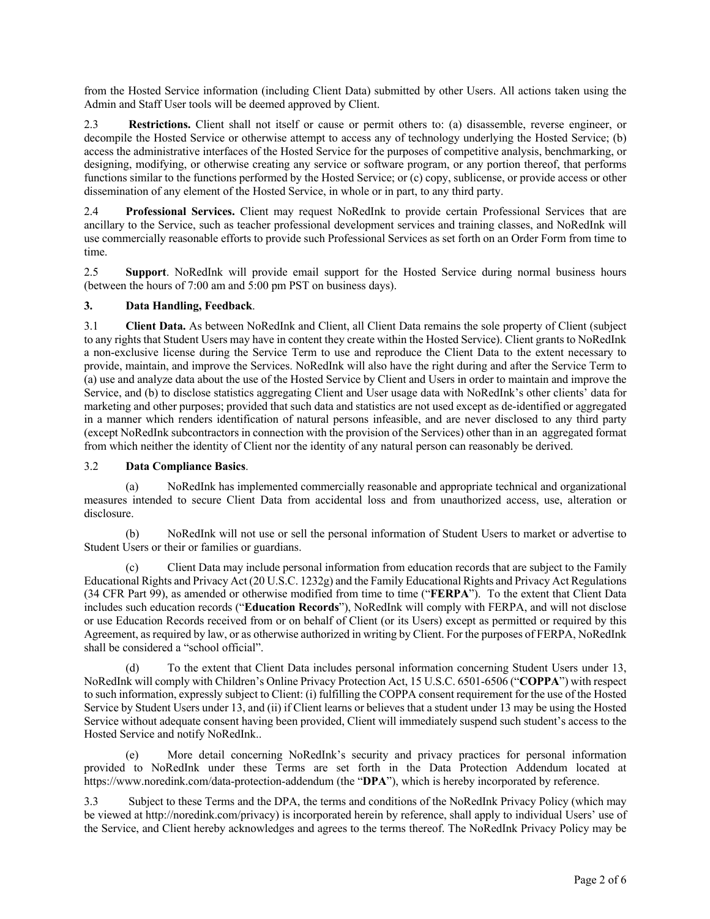from the Hosted Service information (including Client Data) submitted by other Users. All actions taken using the Admin and Staff User tools will be deemed approved by Client.

2.3 **Restrictions.** Client shall not itself or cause or permit others to: (a) disassemble, reverse engineer, or decompile the Hosted Service or otherwise attempt to access any of technology underlying the Hosted Service; (b) access the administrative interfaces of the Hosted Service for the purposes of competitive analysis, benchmarking, or designing, modifying, or otherwise creating any service or software program, or any portion thereof, that performs functions similar to the functions performed by the Hosted Service; or (c) copy, sublicense, or provide access or other dissemination of any element of the Hosted Service, in whole or in part, to any third party.

2.4 **Professional Services.** Client may request NoRedInk to provide certain Professional Services that are ancillary to the Service, such as teacher professional development services and training classes, and NoRedInk will use commercially reasonable efforts to provide such Professional Services as set forth on an Order Form from time to time.

2.5 **Support**. NoRedInk will provide email support for the Hosted Service during normal business hours (between the hours of 7:00 am and 5:00 pm PST on business days).

#### **3. Data Handling, Feedback**.

3.1 **Client Data.** As between NoRedInk and Client, all Client Data remains the sole property of Client (subject to any rights that Student Users may have in content they create within the Hosted Service). Client grants to NoRedInk a non-exclusive license during the Service Term to use and reproduce the Client Data to the extent necessary to provide, maintain, and improve the Services. NoRedInk will also have the right during and after the Service Term to (a) use and analyze data about the use of the Hosted Service by Client and Users in order to maintain and improve the Service, and (b) to disclose statistics aggregating Client and User usage data with NoRedInk's other clients' data for marketing and other purposes; provided that such data and statistics are not used except as de-identified or aggregated in a manner which renders identification of natural persons infeasible, and are never disclosed to any third party (except NoRedInk subcontractors in connection with the provision of the Services) other than in an aggregated format from which neither the identity of Client nor the identity of any natural person can reasonably be derived.

#### 3.2 **Data Compliance Basics**.

NoRedInk has implemented commercially reasonable and appropriate technical and organizational measures intended to secure Client Data from accidental loss and from unauthorized access, use, alteration or disclosure.

(b) NoRedInk will not use or sell the personal information of Student Users to market or advertise to Student Users or their or families or guardians.

(c) Client Data may include personal information from education records that are subject to the Family Educational Rights and Privacy Act (20 U.S.C. 1232g) and the Family Educational Rights and Privacy Act Regulations (34 CFR Part 99), as amended or otherwise modified from time to time ("**FERPA**"). To the extent that Client Data includes such education records ("**Education Records**"), NoRedInk will comply with FERPA, and will not disclose or use Education Records received from or on behalf of Client (or its Users) except as permitted or required by this Agreement, as required by law, or as otherwise authorized in writing by Client. For the purposes of FERPA, NoRedInk shall be considered a "school official".

(d) To the extent that Client Data includes personal information concerning Student Users under 13, NoRedInk will comply with Children's Online Privacy Protection Act, 15 U.S.C. 6501-6506 ("**COPPA**") with respect to such information, expressly subject to Client: (i) fulfilling the COPPA consent requirement for the use of the Hosted Service by Student Users under 13, and (ii) if Client learns or believes that a student under 13 may be using the Hosted Service without adequate consent having been provided, Client will immediately suspend such student's access to the Hosted Service and notify NoRedInk..

(e) More detail concerning NoRedInk's security and privacy practices for personal information provided to NoRedInk under these Terms are set forth in the Data Protection Addendum located at https://www.noredink.com/data-protection-addendum (the "**DPA**"), which is hereby incorporated by reference.

3.3 Subject to these Terms and the DPA, the terms and conditions of the NoRedInk Privacy Policy (which may be viewed at http://noredink.com/privacy) is incorporated herein by reference, shall apply to individual Users' use of the Service, and Client hereby acknowledges and agrees to the terms thereof. The NoRedInk Privacy Policy may be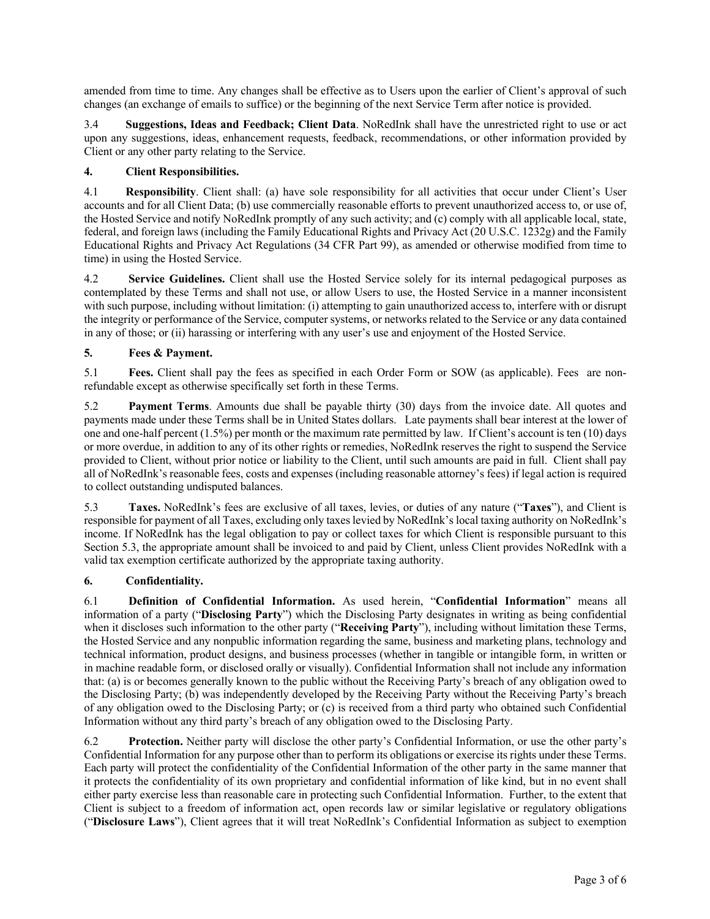amended from time to time. Any changes shall be effective as to Users upon the earlier of Client's approval of such changes (an exchange of emails to suffice) or the beginning of the next Service Term after notice is provided.

3.4 **Suggestions, Ideas and Feedback; Client Data**. NoRedInk shall have the unrestricted right to use or act upon any suggestions, ideas, enhancement requests, feedback, recommendations, or other information provided by Client or any other party relating to the Service.

### **4. Client Responsibilities.**

4.1 **Responsibility**. Client shall: (a) have sole responsibility for all activities that occur under Client's User accounts and for all Client Data; (b) use commercially reasonable efforts to prevent unauthorized access to, or use of, the Hosted Service and notify NoRedInk promptly of any such activity; and (c) comply with all applicable local, state, federal, and foreign laws (including the Family Educational Rights and Privacy Act (20 U.S.C. 1232g) and the Family Educational Rights and Privacy Act Regulations (34 CFR Part 99), as amended or otherwise modified from time to time) in using the Hosted Service.

4.2 **Service Guidelines.** Client shall use the Hosted Service solely for its internal pedagogical purposes as contemplated by these Terms and shall not use, or allow Users to use, the Hosted Service in a manner inconsistent with such purpose, including without limitation: (i) attempting to gain unauthorized access to, interfere with or disrupt the integrity or performance of the Service, computer systems, or networks related to the Service or any data contained in any of those; or (ii) harassing or interfering with any user's use and enjoyment of the Hosted Service.

## **5. Fees & Payment.**

5.1 **Fees.** Client shall pay the fees as specified in each Order Form or SOW (as applicable). Fees are nonrefundable except as otherwise specifically set forth in these Terms.

5.2 **Payment Terms**. Amounts due shall be payable thirty (30) days from the invoice date. All quotes and payments made under these Terms shall be in United States dollars. Late payments shall bear interest at the lower of one and one-half percent (1.5%) per month or the maximum rate permitted by law. If Client's account is ten (10) days or more overdue, in addition to any of its other rights or remedies, NoRedInk reserves the right to suspend the Service provided to Client, without prior notice or liability to the Client, until such amounts are paid in full. Client shall pay all of NoRedInk's reasonable fees, costs and expenses (including reasonable attorney's fees) if legal action is required to collect outstanding undisputed balances.

5.3 **Taxes.** NoRedInk's fees are exclusive of all taxes, levies, or duties of any nature ("**Taxes**"), and Client is responsible for payment of all Taxes, excluding only taxes levied by NoRedInk's local taxing authority on NoRedInk's income. If NoRedInk has the legal obligation to pay or collect taxes for which Client is responsible pursuant to this Section 5.3, the appropriate amount shall be invoiced to and paid by Client, unless Client provides NoRedInk with a valid tax exemption certificate authorized by the appropriate taxing authority.

#### **6. Confidentiality.**

6.1 **Definition of Confidential Information.** As used herein, "**Confidential Information**" means all information of a party ("**Disclosing Party**") which the Disclosing Party designates in writing as being confidential when it discloses such information to the other party ("**Receiving Party**"), including without limitation these Terms, the Hosted Service and any nonpublic information regarding the same, business and marketing plans, technology and technical information, product designs, and business processes (whether in tangible or intangible form, in written or in machine readable form, or disclosed orally or visually). Confidential Information shall not include any information that: (a) is or becomes generally known to the public without the Receiving Party's breach of any obligation owed to the Disclosing Party; (b) was independently developed by the Receiving Party without the Receiving Party's breach of any obligation owed to the Disclosing Party; or (c) is received from a third party who obtained such Confidential Information without any third party's breach of any obligation owed to the Disclosing Party.

6.2 **Protection.** Neither party will disclose the other party's Confidential Information, or use the other party's Confidential Information for any purpose other than to perform its obligations or exercise its rights under these Terms. Each party will protect the confidentiality of the Confidential Information of the other party in the same manner that it protects the confidentiality of its own proprietary and confidential information of like kind, but in no event shall either party exercise less than reasonable care in protecting such Confidential Information. Further, to the extent that Client is subject to a freedom of information act, open records law or similar legislative or regulatory obligations ("**Disclosure Laws**"), Client agrees that it will treat NoRedInk's Confidential Information as subject to exemption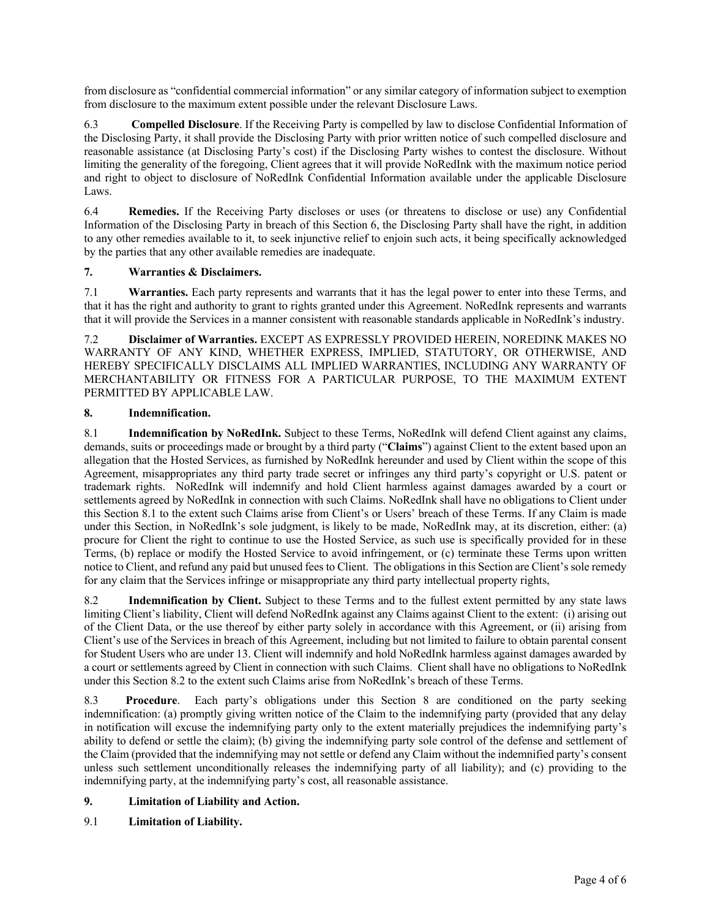from disclosure as "confidential commercial information" or any similar category of information subject to exemption from disclosure to the maximum extent possible under the relevant Disclosure Laws.

6.3 **Compelled Disclosure**. If the Receiving Party is compelled by law to disclose Confidential Information of the Disclosing Party, it shall provide the Disclosing Party with prior written notice of such compelled disclosure and reasonable assistance (at Disclosing Party's cost) if the Disclosing Party wishes to contest the disclosure. Without limiting the generality of the foregoing, Client agrees that it will provide NoRedInk with the maximum notice period and right to object to disclosure of NoRedInk Confidential Information available under the applicable Disclosure Laws.

6.4 **Remedies.** If the Receiving Party discloses or uses (or threatens to disclose or use) any Confidential Information of the Disclosing Party in breach of this Section 6, the Disclosing Party shall have the right, in addition to any other remedies available to it, to seek injunctive relief to enjoin such acts, it being specifically acknowledged by the parties that any other available remedies are inadequate.

## **7. Warranties & Disclaimers.**

7.1 **Warranties.** Each party represents and warrants that it has the legal power to enter into these Terms, and that it has the right and authority to grant to rights granted under this Agreement. NoRedInk represents and warrants that it will provide the Services in a manner consistent with reasonable standards applicable in NoRedInk's industry.

7.2 **Disclaimer of Warranties.** EXCEPT AS EXPRESSLY PROVIDED HEREIN, NOREDINK MAKES NO WARRANTY OF ANY KIND, WHETHER EXPRESS, IMPLIED, STATUTORY, OR OTHERWISE, AND HEREBY SPECIFICALLY DISCLAIMS ALL IMPLIED WARRANTIES, INCLUDING ANY WARRANTY OF MERCHANTABILITY OR FITNESS FOR A PARTICULAR PURPOSE, TO THE MAXIMUM EXTENT PERMITTED BY APPLICABLE LAW.

#### **8. Indemnification.**

8.1 **Indemnification by NoRedInk.** Subject to these Terms, NoRedInk will defend Client against any claims, demands, suits or proceedings made or brought by a third party ("**Claims**") against Client to the extent based upon an allegation that the Hosted Services, as furnished by NoRedInk hereunder and used by Client within the scope of this Agreement, misappropriates any third party trade secret or infringes any third party's copyright or U.S. patent or trademark rights. NoRedInk will indemnify and hold Client harmless against damages awarded by a court or settlements agreed by NoRedInk in connection with such Claims. NoRedInk shall have no obligations to Client under this Section 8.1 to the extent such Claims arise from Client's or Users' breach of these Terms. If any Claim is made under this Section, in NoRedInk's sole judgment, is likely to be made, NoRedInk may, at its discretion, either: (a) procure for Client the right to continue to use the Hosted Service, as such use is specifically provided for in these Terms, (b) replace or modify the Hosted Service to avoid infringement, or (c) terminate these Terms upon written notice to Client, and refund any paid but unused fees to Client. The obligations in this Section are Client's sole remedy for any claim that the Services infringe or misappropriate any third party intellectual property rights,

8.2 **Indemnification by Client.** Subject to these Terms and to the fullest extent permitted by any state laws limiting Client's liability, Client will defend NoRedInk against any Claims against Client to the extent: (i) arising out of the Client Data, or the use thereof by either party solely in accordance with this Agreement, or (ii) arising from Client's use of the Services in breach of this Agreement, including but not limited to failure to obtain parental consent for Student Users who are under 13. Client will indemnify and hold NoRedInk harmless against damages awarded by a court or settlements agreed by Client in connection with such Claims. Client shall have no obligations to NoRedInk under this Section 8.2 to the extent such Claims arise from NoRedInk's breach of these Terms.

8.3 **Procedure**. Each party's obligations under this Section 8 are conditioned on the party seeking indemnification: (a) promptly giving written notice of the Claim to the indemnifying party (provided that any delay in notification will excuse the indemnifying party only to the extent materially prejudices the indemnifying party's ability to defend or settle the claim); (b) giving the indemnifying party sole control of the defense and settlement of the Claim (provided that the indemnifying may not settle or defend any Claim without the indemnified party's consent unless such settlement unconditionally releases the indemnifying party of all liability); and (c) providing to the indemnifying party, at the indemnifying party's cost, all reasonable assistance.

## **9. Limitation of Liability and Action.**

9.1 **Limitation of Liability.**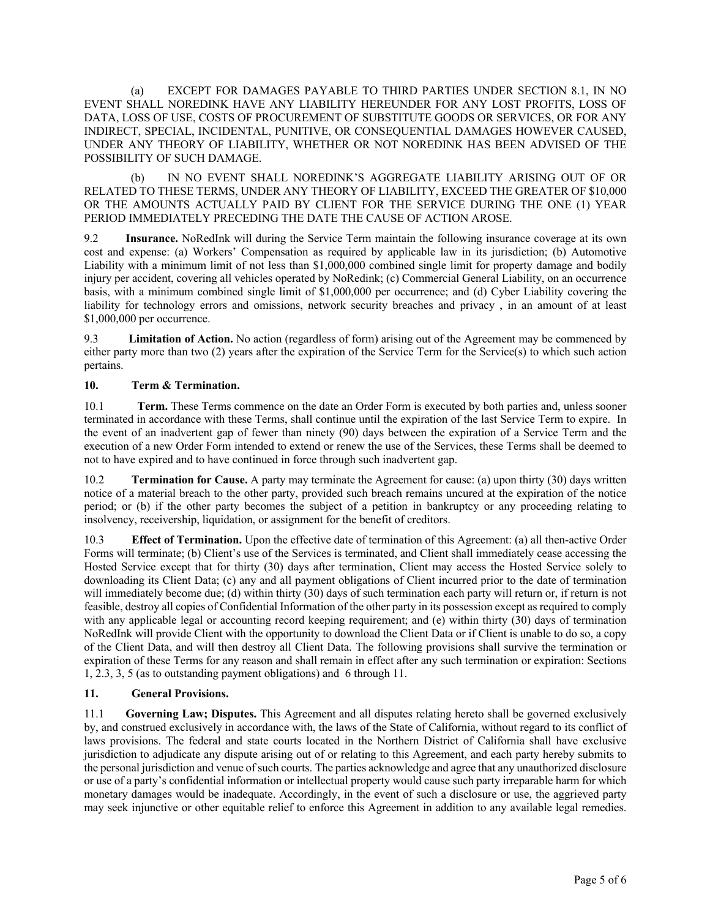(a) EXCEPT FOR DAMAGES PAYABLE TO THIRD PARTIES UNDER SECTION 8.1, IN NO EVENT SHALL NOREDINK HAVE ANY LIABILITY HEREUNDER FOR ANY LOST PROFITS, LOSS OF DATA, LOSS OF USE, COSTS OF PROCUREMENT OF SUBSTITUTE GOODS OR SERVICES, OR FOR ANY INDIRECT, SPECIAL, INCIDENTAL, PUNITIVE, OR CONSEQUENTIAL DAMAGES HOWEVER CAUSED, UNDER ANY THEORY OF LIABILITY, WHETHER OR NOT NOREDINK HAS BEEN ADVISED OF THE POSSIBILITY OF SUCH DAMAGE.

(b) IN NO EVENT SHALL NOREDINK'S AGGREGATE LIABILITY ARISING OUT OF OR RELATED TO THESE TERMS, UNDER ANY THEORY OF LIABILITY, EXCEED THE GREATER OF \$10,000 OR THE AMOUNTS ACTUALLY PAID BY CLIENT FOR THE SERVICE DURING THE ONE (1) YEAR PERIOD IMMEDIATELY PRECEDING THE DATE THE CAUSE OF ACTION AROSE.

9.2 **Insurance.** NoRedInk will during the Service Term maintain the following insurance coverage at its own cost and expense: (a) Workers' Compensation as required by applicable law in its jurisdiction; (b) Automotive Liability with a minimum limit of not less than \$1,000,000 combined single limit for property damage and bodily injury per accident, covering all vehicles operated by NoRedink; (c) Commercial General Liability, on an occurrence basis, with a minimum combined single limit of \$1,000,000 per occurrence; and (d) Cyber Liability covering the liability for technology errors and omissions, network security breaches and privacy , in an amount of at least \$1,000,000 per occurrence.

9.3 **Limitation of Action.** No action (regardless of form) arising out of the Agreement may be commenced by either party more than two (2) years after the expiration of the Service Term for the Service(s) to which such action pertains.

## **10. Term & Termination.**

10.1 **Term.** These Terms commence on the date an Order Form is executed by both parties and, unless sooner terminated in accordance with these Terms, shall continue until the expiration of the last Service Term to expire. In the event of an inadvertent gap of fewer than ninety (90) days between the expiration of a Service Term and the execution of a new Order Form intended to extend or renew the use of the Services, these Terms shall be deemed to not to have expired and to have continued in force through such inadvertent gap.

10.2 **Termination for Cause.** A party may terminate the Agreement for cause: (a) upon thirty (30) days written notice of a material breach to the other party, provided such breach remains uncured at the expiration of the notice period; or (b) if the other party becomes the subject of a petition in bankruptcy or any proceeding relating to insolvency, receivership, liquidation, or assignment for the benefit of creditors.

10.3 **Effect of Termination.** Upon the effective date of termination of this Agreement: (a) all then-active Order Forms will terminate; (b) Client's use of the Services is terminated, and Client shall immediately cease accessing the Hosted Service except that for thirty (30) days after termination, Client may access the Hosted Service solely to downloading its Client Data; (c) any and all payment obligations of Client incurred prior to the date of termination will immediately become due; (d) within thirty (30) days of such termination each party will return or, if return is not feasible, destroy all copies of Confidential Information of the other party in its possession except as required to comply with any applicable legal or accounting record keeping requirement; and (e) within thirty (30) days of termination NoRedInk will provide Client with the opportunity to download the Client Data or if Client is unable to do so, a copy of the Client Data, and will then destroy all Client Data. The following provisions shall survive the termination or expiration of these Terms for any reason and shall remain in effect after any such termination or expiration: Sections 1, 2.3, 3, 5 (as to outstanding payment obligations) and 6 through 11.

#### **11. General Provisions.**

11.1 **Governing Law; Disputes.** This Agreement and all disputes relating hereto shall be governed exclusively by, and construed exclusively in accordance with, the laws of the State of California, without regard to its conflict of laws provisions. The federal and state courts located in the Northern District of California shall have exclusive jurisdiction to adjudicate any dispute arising out of or relating to this Agreement, and each party hereby submits to the personal jurisdiction and venue of such courts. The parties acknowledge and agree that any unauthorized disclosure or use of a party's confidential information or intellectual property would cause such party irreparable harm for which monetary damages would be inadequate. Accordingly, in the event of such a disclosure or use, the aggrieved party may seek injunctive or other equitable relief to enforce this Agreement in addition to any available legal remedies.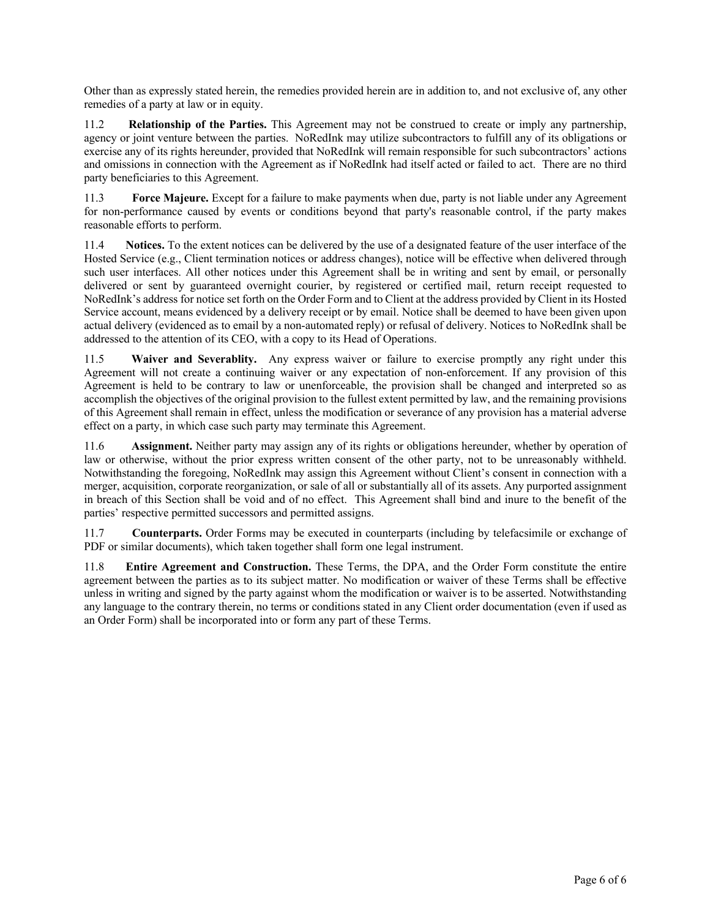Other than as expressly stated herein, the remedies provided herein are in addition to, and not exclusive of, any other remedies of a party at law or in equity.

11.2 **Relationship of the Parties.** This Agreement may not be construed to create or imply any partnership, agency or joint venture between the parties. NoRedInk may utilize subcontractors to fulfill any of its obligations or exercise any of its rights hereunder, provided that NoRedInk will remain responsible for such subcontractors' actions and omissions in connection with the Agreement as if NoRedInk had itself acted or failed to act. There are no third party beneficiaries to this Agreement.

11.3 **Force Majeure.** Except for a failure to make payments when due, party is not liable under any Agreement for non-performance caused by events or conditions beyond that party's reasonable control, if the party makes reasonable efforts to perform.

11.4 **Notices.** To the extent notices can be delivered by the use of a designated feature of the user interface of the Hosted Service (e.g., Client termination notices or address changes), notice will be effective when delivered through such user interfaces. All other notices under this Agreement shall be in writing and sent by email, or personally delivered or sent by guaranteed overnight courier, by registered or certified mail, return receipt requested to NoRedInk's address for notice set forth on the Order Form and to Client at the address provided by Client in its Hosted Service account, means evidenced by a delivery receipt or by email. Notice shall be deemed to have been given upon actual delivery (evidenced as to email by a non-automated reply) or refusal of delivery. Notices to NoRedInk shall be addressed to the attention of its CEO, with a copy to its Head of Operations.

11.5 **Waiver and Severablity.** Any express waiver or failure to exercise promptly any right under this Agreement will not create a continuing waiver or any expectation of non-enforcement. If any provision of this Agreement is held to be contrary to law or unenforceable, the provision shall be changed and interpreted so as accomplish the objectives of the original provision to the fullest extent permitted by law, and the remaining provisions of this Agreement shall remain in effect, unless the modification or severance of any provision has a material adverse effect on a party, in which case such party may terminate this Agreement.

11.6 **Assignment.** Neither party may assign any of its rights or obligations hereunder, whether by operation of law or otherwise, without the prior express written consent of the other party, not to be unreasonably withheld. Notwithstanding the foregoing, NoRedInk may assign this Agreement without Client's consent in connection with a merger, acquisition, corporate reorganization, or sale of all or substantially all of its assets. Any purported assignment in breach of this Section shall be void and of no effect. This Agreement shall bind and inure to the benefit of the parties' respective permitted successors and permitted assigns.

11.7 **Counterparts.** Order Forms may be executed in counterparts (including by telefacsimile or exchange of PDF or similar documents), which taken together shall form one legal instrument.

11.8 **Entire Agreement and Construction.** These Terms, the DPA, and the Order Form constitute the entire agreement between the parties as to its subject matter. No modification or waiver of these Terms shall be effective unless in writing and signed by the party against whom the modification or waiver is to be asserted. Notwithstanding any language to the contrary therein, no terms or conditions stated in any Client order documentation (even if used as an Order Form) shall be incorporated into or form any part of these Terms.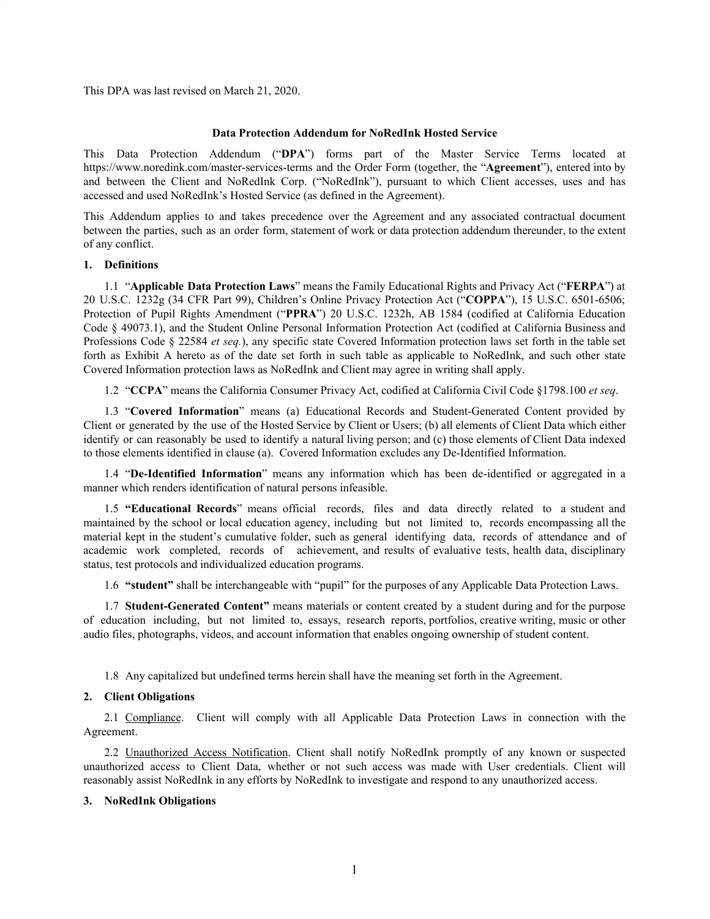This DPA was last revised on March 21, 2020.

#### **Data Protection Addendum for NoRedInk Hosted Service**

This Data Protection Addendum ("**DPA**") forms part of the Master Service Terms located at https://www.noredink.com/master-services-terms and the Order Form (together, the "**Agreement**"), entered into by and between the Client and NoRedInk Corp. ("NoRedInk"), pursuant to which Client accesses, uses and has accessed and used NoRedInk's Hosted Service (as defined in the Agreement).

This Addendum applies to and takes precedence over the Agreement and any associated contractual document between the parties, such as an order form, statement of work or data protection addendum thereunder, to the extent of any conflict.

#### **1. Definitions**

1.1 "**Applicable Data Protection Laws**" means the Family Educational Rights and Privacy Act ("**FERPA**") at 20 U.S.C. 1232g (34 CFR Part 99), Children's Online Privacy Protection Act ("**COPPA**"), 15 U.S.C. 6501-6506; Protection of Pupil Rights Amendment ("**PPRA**") 20 U.S.C. 1232h, AB 1584 (codified at California Education Code § 49073.1), and the Student Online Personal Information Protection Act (codified at California Business and Professions Code § 22584 *et seq.*), any specific state Covered Information protection laws set forth in the table set forth as Exhibit A hereto as of the date set forth in such table as applicable to NoRedInk, and such other state Covered Information protection laws as NoRedInk and Client may agree in writing shall apply.

1.2 "**CCPA**" means the California Consumer Privacy Act, codified at California Civil Code §1798.100 *et seq*.

1.3 "**Covered Information**" means (a) Educational Records and Student-Generated Content provided by Client or generated by the use of the Hosted Service by Client or Users; (b) all elements of Client Data which either identify or can reasonably be used to identify a natural living person; and (c) those elements of Client Data indexed to those elements identified in clause (a). Covered Information excludes any De-Identified Information.

1.4 "**De-Identified Information**" means any information which has been de-identified or aggregated in a manner which renders identification of natural persons infeasible.

1.5 **"Educational Records**" means official records, files and data directly related to a student and maintained by the school or local education agency, including but not limited to, records encompassing all the material kept in the student's cumulative folder, such as general identifying data, records of attendance and of academic work completed, records of achievement, and results of evaluative tests, health data, disciplinary status, test protocols and individualized education programs.

1.6 **"student"** shall be interchangeable with "pupil" for the purposes of any Applicable Data Protection Laws.

1.7 **Student-Generated Content"** means materials or content created by a student during and for the purpose of education including, but not limited to, essays, research reports, portfolios, creative writing, music or other audio files, photographs, videos, and account information that enables ongoing ownership of student content.

1.8 Any capitalized but undefined terms herein shall have the meaning set forth in the Agreement.

#### **2. Client Obligations**

2.1 Compliance. Client will comply with all Applicable Data Protection Laws in connection with the Agreement.

2.2 Unauthorized Access Notification. Client shall notify NoRedInk promptly of any known or suspected unauthorized access to Client Data, whether or not such access was made with User credentials. Client will reasonably assist NoRedInk in any efforts by NoRedInk to investigate and respond to any unauthorized access.

#### **3. NoRedInk Obligations**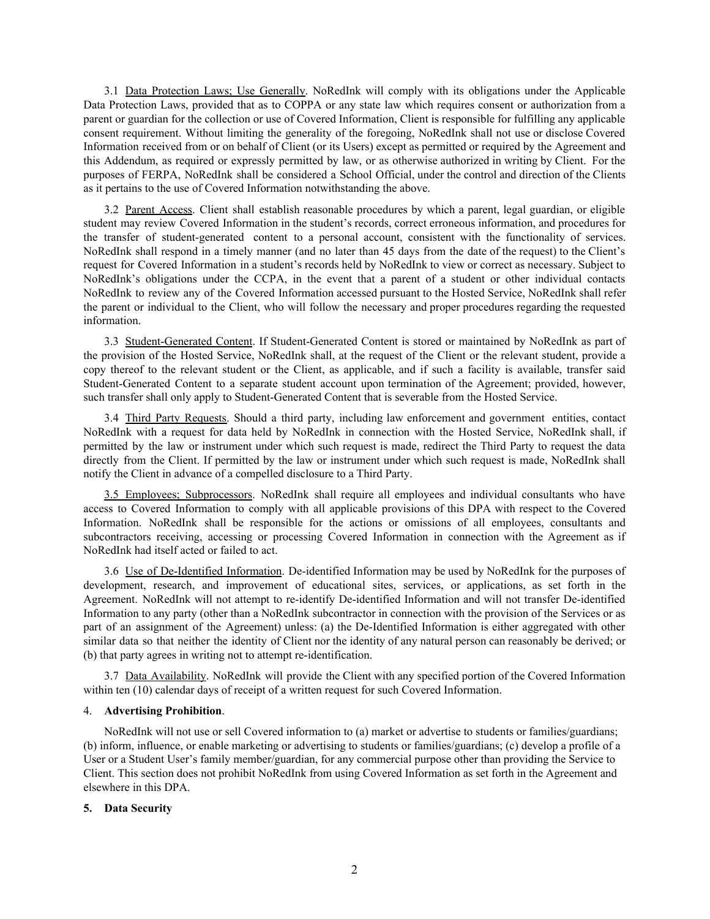3.1 Data Protection Laws; Use Generally. NoRedInk will comply with its obligations under the Applicable Data Protection Laws, provided that as to COPPA or any state law which requires consent or authorization from a parent or guardian for the collection or use of Covered Information, Client is responsible for fulfilling any applicable consent requirement. Without limiting the generality of the foregoing, NoRedInk shall not use or disclose Covered Information received from or on behalf of Client (or its Users) except as permitted or required by the Agreement and this Addendum, as required or expressly permitted by law, or as otherwise authorized in writing by Client. For the purposes of FERPA, NoRedInk shall be considered a School Official, under the control and direction of the Clients as it pertains to the use of Covered Information notwithstanding the above.

3.2 Parent Access. Client shall establish reasonable procedures by which a parent, legal guardian, or eligible student may review Covered Information in the student's records, correct erroneous information, and procedures for the transfer of student-generated content to a personal account, consistent with the functionality of services. NoRedInk shall respond in a timely manner (and no later than 45 days from the date of the request) to the Client's request for Covered Information in a student's records held by NoRedInk to view or correct as necessary. Subject to NoRedInk's obligations under the CCPA, in the event that a parent of a student or other individual contacts NoRedInk to review any of the Covered Information accessed pursuant to the Hosted Service, NoRedInk shall refer the parent or individual to the Client, who will follow the necessary and proper procedures regarding the requested information.

3.3 Student-Generated Content. If Student-Generated Content is stored or maintained by NoRedInk as part of the provision of the Hosted Service, NoRedInk shall, at the request of the Client or the relevant student, provide a copy thereof to the relevant student or the Client, as applicable, and if such a facility is available, transfer said Student-Generated Content to a separate student account upon termination of the Agreement; provided, however, such transfer shall only apply to Student-Generated Content that is severable from the Hosted Service.

3.4 Third Party Requests. Should a third party, including law enforcement and government entities, contact NoRedInk with a request for data held by NoRedInk in connection with the Hosted Service, NoRedInk shall, if permitted by the law or instrument under which such request is made, redirect the Third Party to request the data directly from the Client. If permitted by the law or instrument under which such request is made, NoRedInk shall notify the Client in advance of a compelled disclosure to a Third Party.

3.5 Employees; Subprocessors. NoRedInk shall require all employees and individual consultants who have access to Covered Information to comply with all applicable provisions of this DPA with respect to the Covered Information. NoRedInk shall be responsible for the actions or omissions of all employees, consultants and subcontractors receiving, accessing or processing Covered Information in connection with the Agreement as if NoRedInk had itself acted or failed to act.

3.6 Use of De-Identified Information. De-identified Information may be used by NoRedInk for the purposes of development, research, and improvement of educational sites, services, or applications, as set forth in the Agreement. NoRedInk will not attempt to re-identify De-identified Information and will not transfer De-identified Information to any party (other than a NoRedInk subcontractor in connection with the provision of the Services or as part of an assignment of the Agreement) unless: (a) the De-Identified Information is either aggregated with other similar data so that neither the identity of Client nor the identity of any natural person can reasonably be derived; or (b) that party agrees in writing not to attempt re-identification.

3.7 Data Availability. NoRedInk will provide the Client with any specified portion of the Covered Information within ten (10) calendar days of receipt of a written request for such Covered Information.

#### 4. **Advertising Prohibition**.

NoRedInk will not use or sell Covered information to (a) market or advertise to students or families/guardians; (b) inform, influence, or enable marketing or advertising to students or families/guardians; (c) develop a profile of a User or a Student User's family member/guardian, for any commercial purpose other than providing the Service to Client. This section does not prohibit NoRedInk from using Covered Information as set forth in the Agreement and elsewhere in this DPA.

#### **5. Data Security**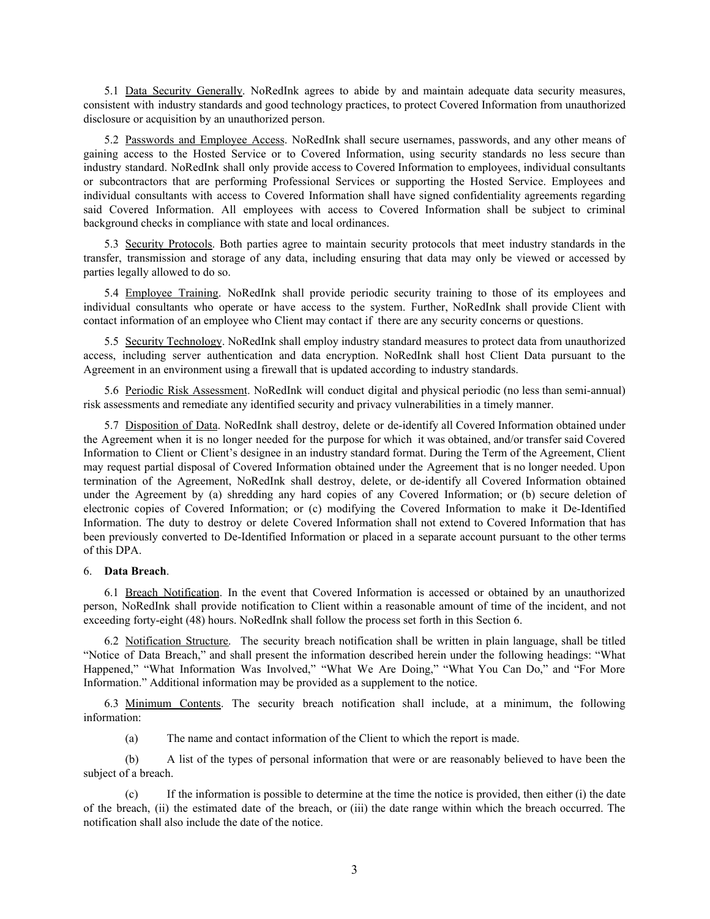5.1 Data Security Generally. NoRedInk agrees to abide by and maintain adequate data security measures, consistent with industry standards and good technology practices, to protect Covered Information from unauthorized disclosure or acquisition by an unauthorized person.

5.2 Passwords and Employee Access. NoRedInk shall secure usernames, passwords, and any other means of gaining access to the Hosted Service or to Covered Information, using security standards no less secure than industry standard. NoRedInk shall only provide access to Covered Information to employees, individual consultants or subcontractors that are performing Professional Services or supporting the Hosted Service. Employees and individual consultants with access to Covered Information shall have signed confidentiality agreements regarding said Covered Information. All employees with access to Covered Information shall be subject to criminal background checks in compliance with state and local ordinances.

5.3 Security Protocols. Both parties agree to maintain security protocols that meet industry standards in the transfer, transmission and storage of any data, including ensuring that data may only be viewed or accessed by parties legally allowed to do so.

5.4 Employee Training. NoRedInk shall provide periodic security training to those of its employees and individual consultants who operate or have access to the system. Further, NoRedInk shall provide Client with contact information of an employee who Client may contact if there are any security concerns or questions.

5.5 Security Technology. NoRedInk shall employ industry standard measures to protect data from unauthorized access, including server authentication and data encryption. NoRedInk shall host Client Data pursuant to the Agreement in an environment using a firewall that is updated according to industry standards.

5.6 Periodic Risk Assessment. NoRedInk will conduct digital and physical periodic (no less than semi-annual) risk assessments and remediate any identified security and privacy vulnerabilities in a timely manner.

5.7 Disposition of Data. NoRedInk shall destroy, delete or de-identify all Covered Information obtained under the Agreement when it is no longer needed for the purpose for which it was obtained, and/or transfer said Covered Information to Client or Client's designee in an industry standard format. During the Term of the Agreement, Client may request partial disposal of Covered Information obtained under the Agreement that is no longer needed. Upon termination of the Agreement, NoRedInk shall destroy, delete, or de-identify all Covered Information obtained under the Agreement by (a) shredding any hard copies of any Covered Information; or (b) secure deletion of electronic copies of Covered Information; or (c) modifying the Covered Information to make it De-Identified Information. The duty to destroy or delete Covered Information shall not extend to Covered Information that has been previously converted to De-Identified Information or placed in a separate account pursuant to the other terms of this DPA.

#### 6. **Data Breach**.

6.1 Breach Notification. In the event that Covered Information is accessed or obtained by an unauthorized person, NoRedInk shall provide notification to Client within a reasonable amount of time of the incident, and not exceeding forty-eight (48) hours. NoRedInk shall follow the process set forth in this Section 6.

6.2 Notification Structure. The security breach notification shall be written in plain language, shall be titled "Notice of Data Breach," and shall present the information described herein under the following headings: "What Happened," "What Information Was Involved," "What We Are Doing," "What You Can Do," and "For More Information." Additional information may be provided as a supplement to the notice.

6.3 Minimum Contents. The security breach notification shall include, at a minimum, the following information:

(a) The name and contact information of the Client to which the report is made.

(b) A list of the types of personal information that were or are reasonably believed to have been the subject of a breach.

(c) If the information is possible to determine at the time the notice is provided, then either (i) the date of the breach, (ii) the estimated date of the breach, or (iii) the date range within which the breach occurred. The notification shall also include the date of the notice.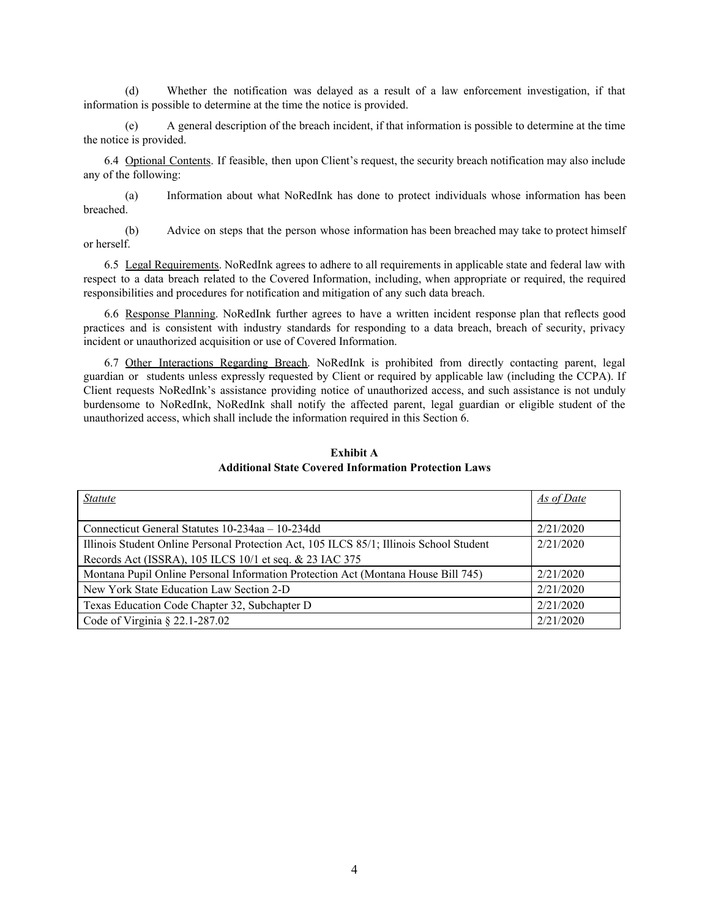(d) Whether the notification was delayed as a result of a law enforcement investigation, if that information is possible to determine at the time the notice is provided.

(e) A general description of the breach incident, if that information is possible to determine at the time the notice is provided.

6.4 Optional Contents. If feasible, then upon Client's request, the security breach notification may also include any of the following:

(a) Information about what NoRedInk has done to protect individuals whose information has been breached.

(b) Advice on steps that the person whose information has been breached may take to protect himself or herself.

6.5 Legal Requirements. NoRedInk agrees to adhere to all requirements in applicable state and federal law with respect to a data breach related to the Covered Information, including, when appropriate or required, the required responsibilities and procedures for notification and mitigation of any such data breach.

6.6 Response Planning. NoRedInk further agrees to have a written incident response plan that reflects good practices and is consistent with industry standards for responding to a data breach, breach of security, privacy incident or unauthorized acquisition or use of Covered Information.

6.7 Other Interactions Regarding Breach. NoRedInk is prohibited from directly contacting parent, legal guardian or students unless expressly requested by Client or required by applicable law (including the CCPA). If Client requests NoRedInk's assistance providing notice of unauthorized access, and such assistance is not unduly burdensome to NoRedInk, NoRedInk shall notify the affected parent, legal guardian or eligible student of the unauthorized access, which shall include the information required in this Section 6.

| <b>Statute</b>                                                                          | As of Date |
|-----------------------------------------------------------------------------------------|------------|
|                                                                                         |            |
| Connecticut General Statutes 10-234aa – 10-234dd                                        | 2/21/2020  |
| Illinois Student Online Personal Protection Act, 105 ILCS 85/1; Illinois School Student | 2/21/2020  |
| Records Act (ISSRA), 105 ILCS 10/1 et seq. & 23 IAC 375                                 |            |
| Montana Pupil Online Personal Information Protection Act (Montana House Bill 745)       | 2/21/2020  |
| New York State Education Law Section 2-D                                                | 2/21/2020  |
| Texas Education Code Chapter 32, Subchapter D                                           | 2/21/2020  |
| Code of Virginia $\S$ 22.1-287.02                                                       | 2/21/2020  |

**Exhibit A Additional State Covered Information Protection Laws**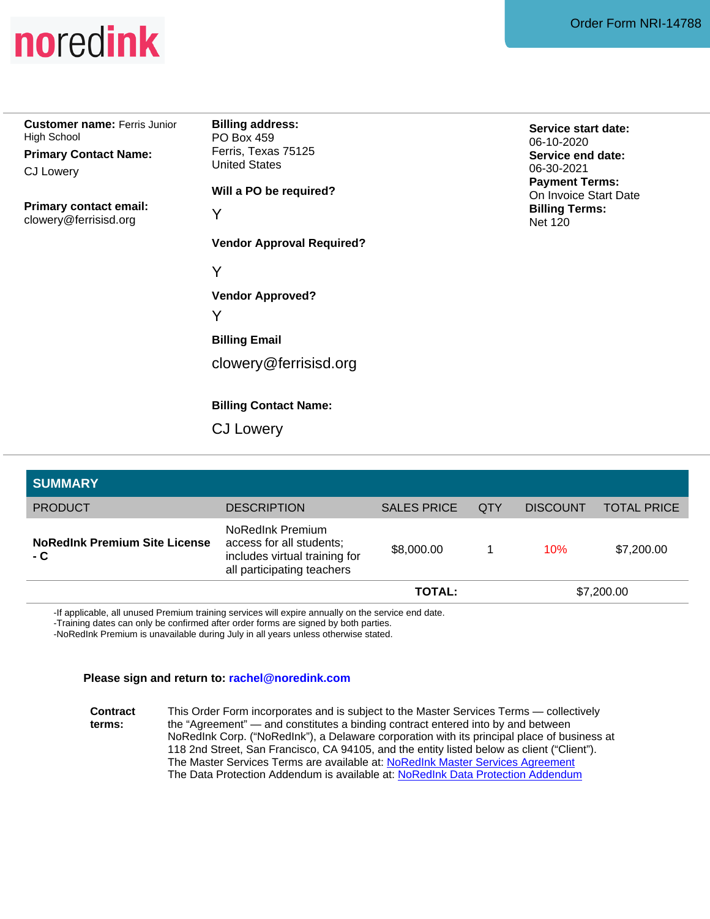

**Customer name:** Ferris Junior High School

**Primary Contact Name:** CJ Lowery

**Primary contact email:** clowery@ferrisisd.org

**Billing address:** PO Box 459 Ferris, Texas 75125 United States

**Will a PO be required?**

**Vendor Approval Required?**

Y

**Vendor Approved?** Y<br>Vendor Appr<br>Y<br>Vendor Appr<br>Y<br>Billing Email<br>Clowery @f<br>Billing Conta<br>CJ Lowery

**Billing Email**

Y<br>Billing Email<br>clowery@ferrisisd.org

**Billing Contact Name:**

**Service start date:** 06-10-2020 **Service end date:** 06-30-2021 **Payment Terms:** On Invoice Start Date **Billing Terms:** Net 120

| <b>SUMMARY</b>                              |                                                                                                             |                    |            |                 |                    |
|---------------------------------------------|-------------------------------------------------------------------------------------------------------------|--------------------|------------|-----------------|--------------------|
| <b>PRODUCT</b>                              | <b>DESCRIPTION</b>                                                                                          | <b>SALES PRICE</b> | <b>QTY</b> | <b>DISCOUNT</b> | <b>TOTAL PRICE</b> |
| <b>NoRedInk Premium Site License</b><br>- C | NoRedInk Premium<br>access for all students;<br>includes virtual training for<br>all participating teachers | \$8,000.00         |            | 10%             | \$7,200.00         |
|                                             |                                                                                                             | TOTAL:             |            | \$7,200.00      |                    |

-If applicable, all unused Premium training services will expire annually on the service end date.

-Training dates can only be confirmed after order forms are signed by both parties.

-NoRedInk Premium is unavailable during July in all years unless otherwise stated.

#### **Please sign and return to: rachel@noredink.com**

**Contract terms:** This Order Form incorporates and is subject to the Master Services Terms — collectively the "Agreement" — and constitutes a binding contract entered into by and between NoRedInk Corp. ("NoRedInk"), a Delaware corporation with its principal place of business at 118 2nd Street, San Francisco, CA 94105, and the entity listed below as client ("Client"). The Master Services Terms are available at: NoRedInk Master Services [Agreement](https://noredink-product.s3-us-west-2.amazonaws.com/NoRedInk+Master+Service+Terms.pdf) The Data Protection Addendum is available at: NoRedInk Data Protection [Addendum](https://noredink-product.s3-us-west-2.amazonaws.com/NoRedInk+Data+Protection+Addendum.pdf)